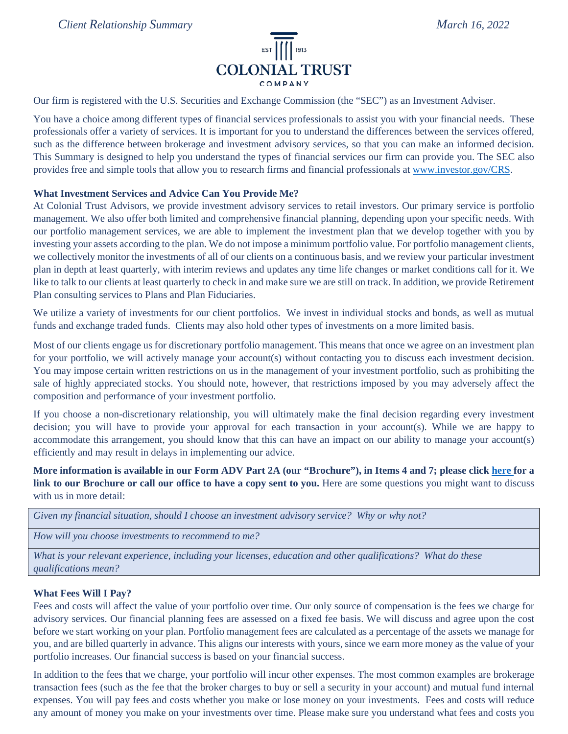

Our firm is registered with the U.S. Securities and Exchange Commission (the "SEC") as an Investment Adviser.

You have a choice among different types of financial services professionals to assist you with your financial needs. These professionals offer a variety of services. It is important for you to understand the differences between the services offered, such as the difference between brokerage and investment advisory services, so that you can make an informed decision. This Summary is designed to help you understand the types of financial services our firm can provide you. The SEC also provides free and simple tools that allow you to research firms and financial professionals at [www.investor.gov/CRS.](http://www.investor.gov/CRS)

# **What Investment Services and Advice Can You Provide Me?**

At Colonial Trust Advisors, we provide investment advisory services to retail investors. Our primary service is portfolio management. We also offer both limited and comprehensive financial planning, depending upon your specific needs. With our portfolio management services, we are able to implement the investment plan that we develop together with you by investing your assets according to the plan. We do not impose a minimum portfolio value. For portfolio management clients, we collectively monitor the investments of all of our clients on a continuous basis, and we review your particular investment plan in depth at least quarterly, with interim reviews and updates any time life changes or market conditions call for it. We like to talk to our clients at least quarterly to check in and make sure we are still on track. In addition, we provide Retirement Plan consulting services to Plans and Plan Fiduciaries.

We utilize a variety of investments for our client portfolios. We invest in individual stocks and bonds, as well as mutual funds and exchange traded funds. Clients may also hold other types of investments on a more limited basis.

Most of our clients engage us for discretionary portfolio management. This means that once we agree on an investment plan for your portfolio, we will actively manage your account(s) without contacting you to discuss each investment decision. You may impose certain written restrictions on us in the management of your investment portfolio, such as prohibiting the sale of highly appreciated stocks. You should note, however, that restrictions imposed by you may adversely affect the composition and performance of your investment portfolio.

If you choose a non-discretionary relationship, you will ultimately make the final decision regarding every investment decision; you will have to provide your approval for each transaction in your account(s). While we are happy to accommodate this arrangement, you should know that this can have an impact on our ability to manage your account(s) efficiently and may result in delays in implementing our advice.

**More information is available in our Form ADV Part 2A (our "Brochure"), in Items 4 and 7; please click [here f](https://adviserinfo.sec.gov/firm/summary/110257)or a link to our Brochure or call our office to have a copy sent to you.** Here are some questions you might want to discuss with us in more detail:

| Given my financial situation, should I choose an investment advisory service? Why or why not? |  |  |  |  |
|-----------------------------------------------------------------------------------------------|--|--|--|--|
|                                                                                               |  |  |  |  |

*How will you choose investments to recommend to me?*

*What is your relevant experience, including your licenses, education and other qualifications? What do these qualifications mean?*

### **What Fees Will I Pay?**

Fees and costs will affect the value of your portfolio over time. Our only source of compensation is the fees we charge for advisory services. Our financial planning fees are assessed on a fixed fee basis. We will discuss and agree upon the cost before we start working on your plan. Portfolio management fees are calculated as a percentage of the assets we manage for you, and are billed quarterly in advance. This aligns our interests with yours, since we earn more money as the value of your portfolio increases. Our financial success is based on your financial success.

In addition to the fees that we charge, your portfolio will incur other expenses. The most common examples are brokerage transaction fees (such as the fee that the broker charges to buy or sell a security in your account) and mutual fund internal expenses. You will pay fees and costs whether you make or lose money on your investments. Fees and costs will reduce any amount of money you make on your investments over time. Please make sure you understand what fees and costs you